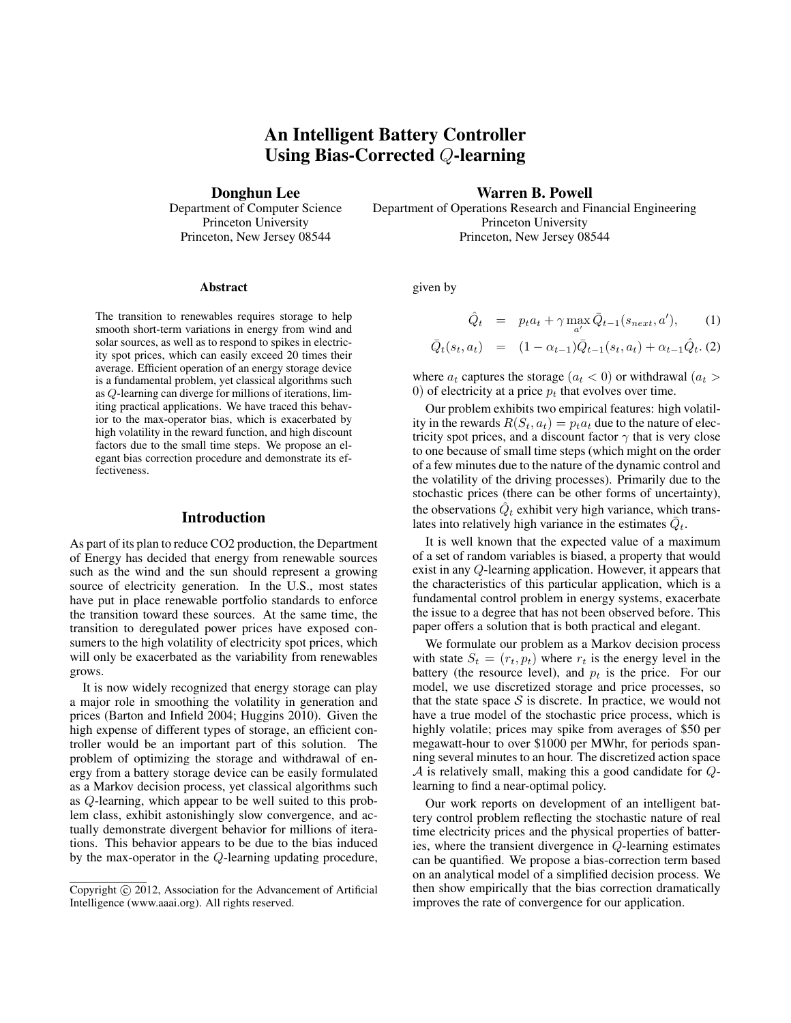# An Intelligent Battery Controller Using Bias-Corrected Q-learning

Donghun Lee

Department of Computer Science Princeton University Princeton, New Jersey 08544

Warren B. Powell

Department of Operations Research and Financial Engineering Princeton University Princeton, New Jersey 08544

#### Abstract

The transition to renewables requires storage to help smooth short-term variations in energy from wind and solar sources, as well as to respond to spikes in electricity spot prices, which can easily exceed 20 times their average. Efficient operation of an energy storage device is a fundamental problem, yet classical algorithms such as Q-learning can diverge for millions of iterations, limiting practical applications. We have traced this behavior to the max-operator bias, which is exacerbated by high volatility in the reward function, and high discount factors due to the small time steps. We propose an elegant bias correction procedure and demonstrate its effectiveness.

# Introduction

As part of its plan to reduce CO2 production, the Department of Energy has decided that energy from renewable sources such as the wind and the sun should represent a growing source of electricity generation. In the U.S., most states have put in place renewable portfolio standards to enforce the transition toward these sources. At the same time, the transition to deregulated power prices have exposed consumers to the high volatility of electricity spot prices, which will only be exacerbated as the variability from renewables grows.

It is now widely recognized that energy storage can play a major role in smoothing the volatility in generation and prices (Barton and Infield 2004; Huggins 2010). Given the high expense of different types of storage, an efficient controller would be an important part of this solution. The problem of optimizing the storage and withdrawal of energy from a battery storage device can be easily formulated as a Markov decision process, yet classical algorithms such as Q-learning, which appear to be well suited to this problem class, exhibit astonishingly slow convergence, and actually demonstrate divergent behavior for millions of iterations. This behavior appears to be due to the bias induced by the max-operator in the Q-learning updating procedure,

given by

$$
\hat{Q}_t = p_t a_t + \gamma \max_{a'} \bar{Q}_{t-1}(s_{next}, a'), \quad (1)
$$

$$
\bar{Q}_t(s_t, a_t) = (1 - \alpha_{t-1})\bar{Q}_{t-1}(s_t, a_t) + \alpha_{t-1}\hat{Q}_t. \quad (2)
$$

where  $a_t$  captures the storage  $(a_t < 0)$  or withdrawal  $(a_t > 0)$ 0) of electricity at a price  $p_t$  that evolves over time.

Our problem exhibits two empirical features: high volatility in the rewards  $R(S_t, a_t) = p_t a_t$  due to the nature of electricity spot prices, and a discount factor  $\gamma$  that is very close to one because of small time steps (which might on the order of a few minutes due to the nature of the dynamic control and the volatility of the driving processes). Primarily due to the stochastic prices (there can be other forms of uncertainty), the observations  $\hat{Q}_t$  exhibit very high variance, which translates into relatively high variance in the estimates  $\bar{Q}_t$ .

It is well known that the expected value of a maximum of a set of random variables is biased, a property that would exist in any Q-learning application. However, it appears that the characteristics of this particular application, which is a fundamental control problem in energy systems, exacerbate the issue to a degree that has not been observed before. This paper offers a solution that is both practical and elegant.

We formulate our problem as a Markov decision process with state  $S_t = (r_t, p_t)$  where  $r_t$  is the energy level in the battery (the resource level), and  $p_t$  is the price. For our model, we use discretized storage and price processes, so that the state space  $S$  is discrete. In practice, we would not have a true model of the stochastic price process, which is highly volatile; prices may spike from averages of \$50 per megawatt-hour to over \$1000 per MWhr, for periods spanning several minutes to an hour. The discretized action space  $\mathcal A$  is relatively small, making this a good candidate for  $Q$ learning to find a near-optimal policy.

Our work reports on development of an intelligent battery control problem reflecting the stochastic nature of real time electricity prices and the physical properties of batteries, where the transient divergence in Q-learning estimates can be quantified. We propose a bias-correction term based on an analytical model of a simplified decision process. We then show empirically that the bias correction dramatically improves the rate of convergence for our application.

Copyright  $\odot$  2012, Association for the Advancement of Artificial Intelligence (www.aaai.org). All rights reserved.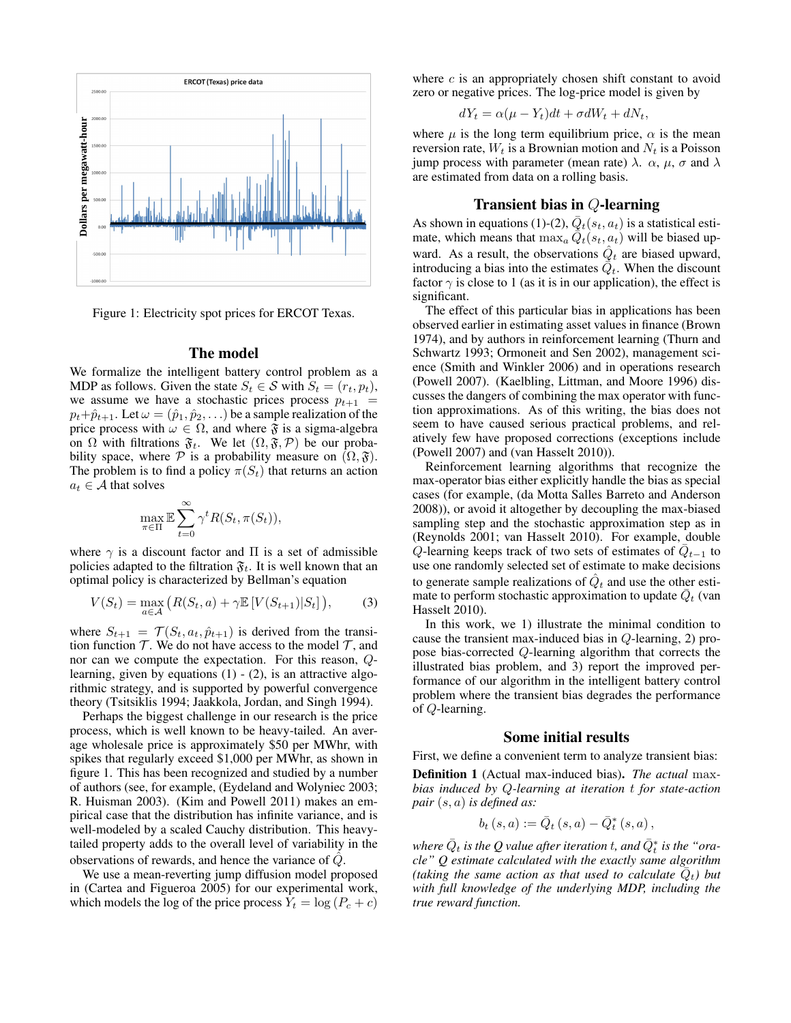

Figure 1: Electricity spot prices for ERCOT Texas.

#### The model

We formalize the intelligent battery control problem as a MDP as follows. Given the state  $S_t \in \mathcal{S}$  with  $S_t = (r_t, p_t)$ , we assume we have a stochastic prices process  $p_{t+1}$  =  $p_t+\hat{p}_{t+1}$ . Let  $\omega=(\hat{p}_1,\hat{p}_2,\ldots)$  be a sample realization of the price process with  $\omega \in \Omega$ , and where  $\mathfrak F$  is a sigma-algebra on  $\Omega$  with filtrations  $\mathfrak{F}_t$ . We let  $(\Omega, \mathfrak{F}, \mathcal{P})$  be our probability space, where  $P$  is a probability measure on  $(\Omega, \mathfrak{F})$ . The problem is to find a policy  $\pi(S_t)$  that returns an action  $a_t \in \mathcal{A}$  that solves

$$
\max_{\pi \in \Pi} \mathbb{E} \sum_{t=0}^{\infty} \gamma^t R(S_t, \pi(S_t)),
$$

where  $\gamma$  is a discount factor and  $\Pi$  is a set of admissible policies adapted to the filtration  $\mathfrak{F}_t$ . It is well known that an optimal policy is characterized by Bellman's equation

$$
V(S_t) = \max_{a \in \mathcal{A}} \left( R(S_t, a) + \gamma \mathbb{E} \left[ V(S_{t+1}) | S_t \right] \right), \tag{3}
$$

where  $S_{t+1} = \mathcal{T}(S_t, a_t, \hat{p}_{t+1})$  is derived from the transition function  $T$ . We do not have access to the model  $T$ , and nor can we compute the expectation. For this reason, Qlearning, given by equations  $(1)$  -  $(2)$ , is an attractive algorithmic strategy, and is supported by powerful convergence theory (Tsitsiklis 1994; Jaakkola, Jordan, and Singh 1994).

Perhaps the biggest challenge in our research is the price process, which is well known to be heavy-tailed. An average wholesale price is approximately \$50 per MWhr, with spikes that regularly exceed \$1,000 per MWhr, as shown in figure 1. This has been recognized and studied by a number of authors (see, for example, (Eydeland and Wolyniec 2003; R. Huisman 2003). (Kim and Powell 2011) makes an empirical case that the distribution has infinite variance, and is well-modeled by a scaled Cauchy distribution. This heavytailed property adds to the overall level of variability in the observations of rewards, and hence the variance of  $\hat{Q}$ .

We use a mean-reverting jump diffusion model proposed in (Cartea and Figueroa 2005) for our experimental work, which models the log of the price process  $Y_t = \log (P_c + c)$ 

where  $c$  is an appropriately chosen shift constant to avoid zero or negative prices. The log-price model is given by

$$
dY_t = \alpha(\mu - Y_t)dt + \sigma dW_t + dN_t,
$$

where  $\mu$  is the long term equilibrium price,  $\alpha$  is the mean reversion rate,  $W_t$  is a Brownian motion and  $N_t$  is a Poisson jump process with parameter (mean rate)  $\lambda$ .  $\alpha$ ,  $\mu$ ,  $\sigma$  and  $\lambda$ are estimated from data on a rolling basis.

# Transient bias in Q-learning

As shown in equations (1)-(2),  $\overline{Q}_t(s_t, a_t)$  is a statistical estimate, which means that  $\max_{a} \tilde{Q}_{t}(s_{t}, a_{t})$  will be biased upward. As a result, the observations  $\hat{Q}_t$  are biased upward, introducing a bias into the estimates  $\bar{\phi}_t$ . When the discount factor  $\gamma$  is close to 1 (as it is in our application), the effect is significant.

The effect of this particular bias in applications has been observed earlier in estimating asset values in finance (Brown 1974), and by authors in reinforcement learning (Thurn and Schwartz 1993; Ormoneit and Sen 2002), management science (Smith and Winkler 2006) and in operations research (Powell 2007). (Kaelbling, Littman, and Moore 1996) discusses the dangers of combining the max operator with function approximations. As of this writing, the bias does not seem to have caused serious practical problems, and relatively few have proposed corrections (exceptions include (Powell 2007) and (van Hasselt 2010)).

Reinforcement learning algorithms that recognize the max-operator bias either explicitly handle the bias as special cases (for example, (da Motta Salles Barreto and Anderson 2008)), or avoid it altogether by decoupling the max-biased sampling step and the stochastic approximation step as in (Reynolds 2001; van Hasselt 2010). For example, double  $\hat{Q}$ -learning keeps track of two sets of estimates of  $\overline{Q}_{t-1}$  to use one randomly selected set of estimate to make decisions to generate sample realizations of  $\hat{Q}_t$  and use the other estimate to perform stochastic approximation to update  $\overline{Q}_t$  (van Hasselt 2010).

In this work, we 1) illustrate the minimal condition to cause the transient max-induced bias in Q-learning, 2) propose bias-corrected Q-learning algorithm that corrects the illustrated bias problem, and 3) report the improved performance of our algorithm in the intelligent battery control problem where the transient bias degrades the performance of Q-learning.

# Some initial results

First, we define a convenient term to analyze transient bias: Definition 1 (Actual max-induced bias). *The actual* max*bias induced by* Q*-learning at iteration* t *for state-action pair* (s, a) *is defined as:*

$$
b_{t}\left( s,a\right) :=\bar{Q}_{t}\left( s,a\right) -\bar{Q}_{t}^{\ast }\left( s,a\right) ,
$$

where  $\bar{Q}_t$  is the  $Q$  value after iteration  $t$ , and  $\bar{Q}_t^*$  is the "ora*cle" Q estimate calculated with the exactly same algorithm (taking the same action as that used to calculate*  $\overline{Q}_t$ *) but with full knowledge of the underlying MDP, including the true reward function.*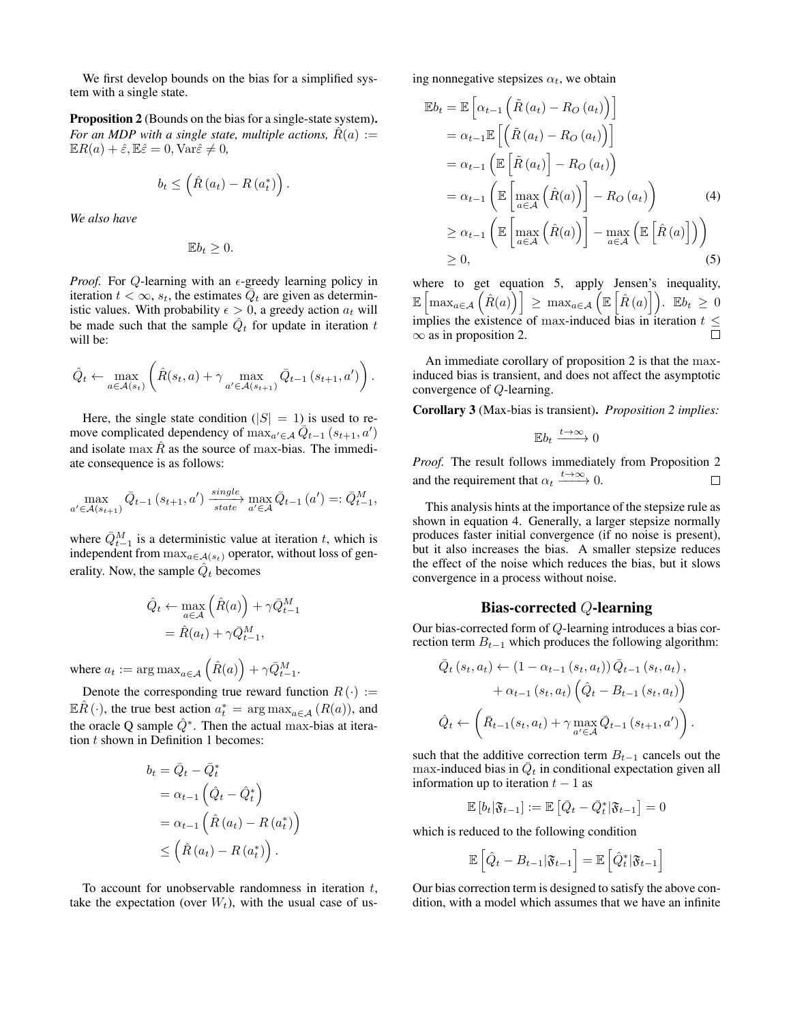We first develop bounds on the bias for a simplified system with a single state.

Proposition 2 (Bounds on the bias for a single-state system). *For an MDP with a single state, multiple actions,*  $R(a) :=$  $\mathbb{E}R(a) + \hat{\varepsilon}, \mathbb{E}\hat{\varepsilon} = 0, \text{Var}\hat{\varepsilon} \neq 0,$ 

$$
b_t \leq \left(\hat{R}\left(a_t\right) - R\left(a_t^*\right)\right).
$$

*We also have*

$$
\mathbb{E}b_t\geq 0.
$$

*Proof.* For Q-learning with an  $\epsilon$ -greedy learning policy in iteration  $t < \infty$ ,  $s_t$ , the estimates  $\overline{Q}_t$  are given as deterministic values. With probability  $\epsilon > 0$ , a greedy action  $a_t$  will be made such that the sample  $\hat{Q}_t$  for update in iteration t will be:

$$
\hat{Q}_t \leftarrow \max_{a \in \mathcal{A}(s_t)} \left( \hat{R}(s_t, a) + \gamma \max_{a' \in \mathcal{A}(s_{t+1})} \bar{Q}_{t-1}(s_{t+1}, a') \right).
$$

Here, the single state condition ( $|S| = 1$ ) is used to remove complicated dependency of  $\max_{a' \in A} \overline{Q}_{t-1} (s_{t+1}, a')$ and isolate max  $\hat{R}$  as the source of max-bias. The immediate consequence is as follows:

$$
\max_{a' \in \mathcal{A}(s_{t+1})} \bar{Q}_{t-1}(s_{t+1}, a') \xrightarrow{\text{single}} \max_{a' \in \mathcal{A}} \bar{Q}_{t-1}(a') =: \bar{Q}_{t-1}^M,
$$

where  $\bar{Q}_{t-1}^M$  is a deterministic value at iteration t, which is independent from  $\max_{a \in \mathcal{A}(s_t)}$  operator, without loss of generality. Now, the sample  $\hat{Q}_t$  becomes

$$
\hat{Q}_t \leftarrow \max_{a \in \mathcal{A}} \left( \hat{R}(a) \right) + \gamma \bar{Q}_{t-1}^M
$$

$$
= \hat{R}(a_t) + \gamma \bar{Q}_{t-1}^M,
$$

where  $a_t := \argmax_{a \in \mathcal{A}} (\hat{R}(a)) + \gamma \bar{Q}_{t-1}^M$ .

Denote the corresponding true reward function  $R(\cdot) :=$  $\mathbb{E}\hat{R}(\cdot)$ , the true best action  $a_t^* = \arg \max_{a \in \mathcal{A}} (R(a))$ , and the oracle Q sample  $\hat{Q}^*$ . Then the actual max-bias at iteration  $t$  shown in Definition 1 becomes:

$$
b_{t} = \bar{Q}_{t} - \bar{Q}_{t}^{*}
$$
  
=  $\alpha_{t-1} \left( \hat{Q}_{t} - \hat{Q}_{t}^{*} \right)$   
=  $\alpha_{t-1} \left( \hat{R} \left( a_{t} \right) - R \left( a_{t}^{*} \right) \right)$   
 $\leq \left( \hat{R} \left( a_{t} \right) - R \left( a_{t}^{*} \right) \right).$ 

To account for unobservable randomness in iteration  $t$ , take the expectation (over  $W_t$ ), with the usual case of using nonnegative stepsizes  $\alpha_t$ , we obtain

$$
\mathbb{E}b_t = \mathbb{E}\left[\alpha_{t-1}\left(\tilde{R}\left(a_t\right) - R_O\left(a_t\right)\right)\right]
$$
  
\n
$$
= \alpha_{t-1}\mathbb{E}\left[\left(\tilde{R}\left(a_t\right) - R_O\left(a_t\right)\right)\right]
$$
  
\n
$$
= \alpha_{t-1}\left(\mathbb{E}\left[\tilde{R}\left(a_t\right)\right] - R_O\left(a_t\right)\right)
$$
  
\n
$$
= \alpha_{t-1}\left(\mathbb{E}\left[\max_{a \in \mathcal{A}}\left(\hat{R}(a)\right)\right] - R_O\left(a_t\right)\right) \qquad (4)
$$
  
\n
$$
\geq \alpha_{t-1}\left(\mathbb{E}\left[\max_{a \in \mathcal{A}}\left(\hat{R}(a)\right)\right] - \max_{a \in \mathcal{A}}\left(\mathbb{E}\left[\hat{R}\left(a\right)\right]\right)\right)
$$
  
\n
$$
\geq 0, \qquad (5)
$$

where to get equation 5, apply Jensen's inequality,  $\mathbb{E}\left[\max_{a\in\mathcal{A}}\left(\hat{R}(a)\right)\right] \,\geq\, \max_{a\in\mathcal{A}}\left(\mathbb{E}\left[\hat{R}(a)\right]\right).$   $\mathbb{E}b_t \,\geq\, 0$ implies the existence of max-induced bias in iteration  $t \leq$  $\infty$  as in proposition 2.

An immediate corollary of proposition 2 is that the maxinduced bias is transient, and does not affect the asymptotic convergence of Q-learning.

Corollary 3 (Max-bias is transient). *Proposition 2 implies:*

$$
\mathbb{E}b_t \xrightarrow{t \to \infty} 0
$$

*Proof.* The result follows immediately from Proposition 2 and the requirement that  $\alpha_t \xrightarrow{t \to \infty} 0$ .  $\Box$ 

This analysis hints at the importance of the stepsize rule as shown in equation 4. Generally, a larger stepsize normally produces faster initial convergence (if no noise is present), but it also increases the bias. A smaller stepsize reduces the effect of the noise which reduces the bias, but it slows convergence in a process without noise.

# Bias-corrected Q-learning

Our bias-corrected form of Q-learning introduces a bias correction term  $B_{t-1}$  which produces the following algorithm:

$$
\bar{Q}_{t}(s_{t}, a_{t}) \leftarrow (1 - \alpha_{t-1}(s_{t}, a_{t})) \bar{Q}_{t-1}(s_{t}, a_{t}), \n+ \alpha_{t-1}(s_{t}, a_{t}) (\hat{Q}_{t} - B_{t-1}(s_{t}, a_{t})) \n\hat{Q}_{t} \leftarrow (\bar{R}_{t-1}(s_{t}, a_{t}) + \gamma \max_{a' \in \mathcal{A}} \bar{Q}_{t-1}(s_{t+1}, a')) .
$$

such that the additive correction term  $B_{t-1}$  cancels out the max-induced bias in  $\bar{Q}_t$  in conditional expectation given all information up to iteration  $t - 1$  as

$$
\mathbb{E}\left[b_t|\mathfrak{F}_{t-1}\right]:=\mathbb{E}\left[\bar{Q}_t-\bar{Q}_t^*|\mathfrak{F}_{t-1}\right]=0
$$

which is reduced to the following condition

$$
\mathbb{E}\left[\hat{Q}_t - B_{t-1}|\mathfrak{F}_{t-1}\right] = \mathbb{E}\left[\hat{Q}_t^*|\mathfrak{F}_{t-1}\right]
$$

Our bias correction term is designed to satisfy the above condition, with a model which assumes that we have an infinite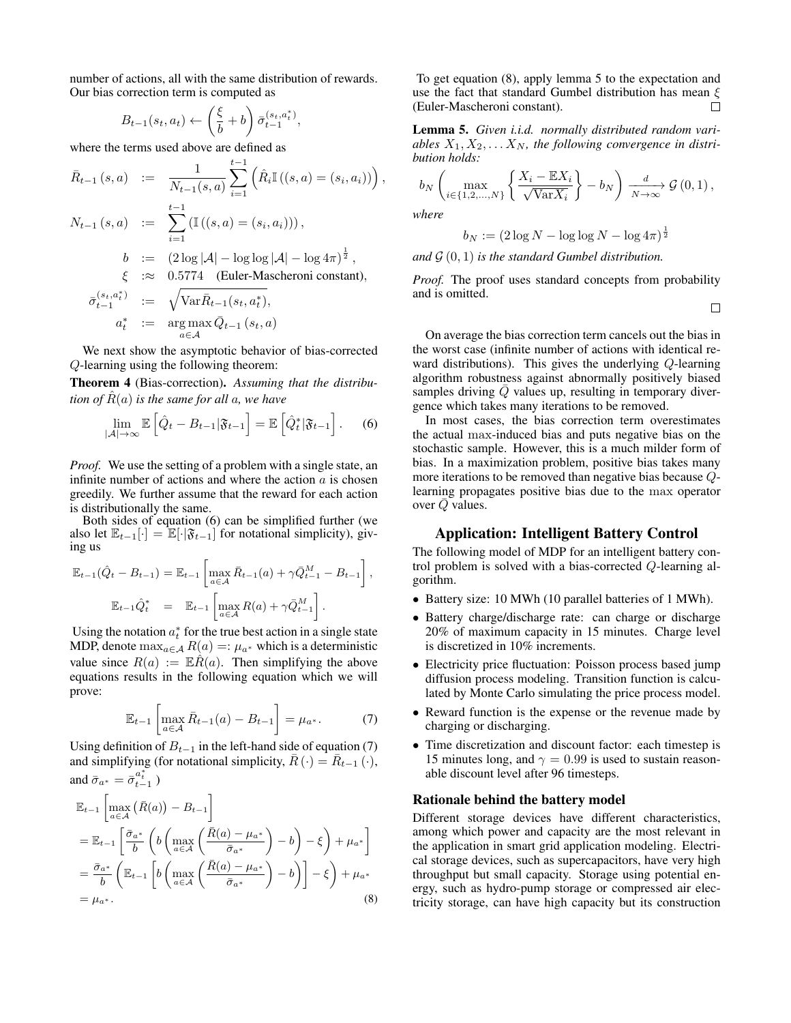number of actions, all with the same distribution of rewards. Our bias correction term is computed as

$$
B_{t-1}(s_t, a_t) \leftarrow \left(\frac{\xi}{b} + b\right) \bar{\sigma}_{t-1}^{(s_t, a_t^*)},
$$

where the terms used above are defined as

$$
\bar{R}_{t-1}(s, a) := \frac{1}{N_{t-1}(s, a)} \sum_{i=1}^{t-1} (\hat{R}_i \mathbb{I}((s, a) = (s_i, a_i)))
$$
\n
$$
N_{t-1}(s, a) := \sum_{i=1}^{t-1} (\mathbb{I}((s, a) = (s_i, a_i))),
$$
\n
$$
b := (2 \log |\mathcal{A}| - \log \log |\mathcal{A}| - \log 4\pi)^{\frac{1}{2}},
$$
\n
$$
\xi := 0.5774 \text{ (Euler-Mascheroni constant)},
$$

$$
\bar{\sigma}_{t-1}^{(s_t, a_t^*)} := \sqrt{\text{Var}\bar{R}_{t-1}(s_t, a_t^*)},
$$
  
\n
$$
a_t^* := \arg \max_{a \in \mathcal{A}} \bar{Q}_{t-1}(s_t, a)
$$

We next show the asymptotic behavior of bias-corrected Q-learning using the following theorem:

Theorem 4 (Bias-correction). *Assuming that the distribution of*  $\hat{R}(a)$  *is the same for all a, we have* 

$$
\lim_{|\mathcal{A}| \to \infty} \mathbb{E}\left[\hat{Q}_t - B_{t-1}|\mathfrak{F}_{t-1}\right] = \mathbb{E}\left[\hat{Q}_t^*|\mathfrak{F}_{t-1}\right].\tag{6}
$$

*Proof.* We use the setting of a problem with a single state, an infinite number of actions and where the action  $\alpha$  is chosen greedily. We further assume that the reward for each action is distributionally the same.

Both sides of equation (6) can be simplified further (we also let  $\mathbb{E}_{t-1}[\cdot] = \mathbb{E}[\cdot|\mathfrak{F}_{t-1}]$  for notational simplicity), giving us

$$
\mathbb{E}_{t-1}(\hat{Q}_t - B_{t-1}) = \mathbb{E}_{t-1} \left[ \max_{a \in \mathcal{A}} \bar{R}_{t-1}(a) + \gamma \bar{Q}_{t-1}^M - B_{t-1} \right],
$$
  

$$
\mathbb{E}_{t-1} \hat{Q}_t^* = \mathbb{E}_{t-1} \left[ \max_{a \in \mathcal{A}} R(a) + \gamma \bar{Q}_{t-1}^M \right].
$$

Using the notation  $a_t^*$  for the true best action in a single state MDP, denote  $\max_{a \in \mathcal{A}} R(a) =: \mu_{a^*}$  which is a deterministic value since  $R(a) := \mathbb{E}\hat{R}(a)$ . Then simplifying the above equations results in the following equation which we will prove:

$$
\mathbb{E}_{t-1} \left[ \max_{a \in \mathcal{A}} \bar{R}_{t-1}(a) - B_{t-1} \right] = \mu_{a^*}.
$$
 (7)

Using definition of  $B_{t-1}$  in the left-hand side of equation (7) and simplifying (for notational simplicity,  $\overline{R}(\cdot) = \overline{R}_{t-1}(\cdot)$ , and  $\bar{\sigma}_{a^*} = \bar{\sigma}_{t-1}^{a_t^*}$ )

$$
\mathbb{E}_{t-1} \left[ \max_{a \in \mathcal{A}} \left( \bar{R}(a) \right) - B_{t-1} \right]
$$
\n
$$
= \mathbb{E}_{t-1} \left[ \frac{\bar{\sigma}_{a^*}}{b} \left( b \left( \max_{a \in \mathcal{A}} \left( \frac{\bar{R}(a) - \mu_{a^*}}{\bar{\sigma}_{a^*}} \right) - b \right) - \xi \right) + \mu_{a^*} \right]
$$
\n
$$
= \frac{\bar{\sigma}_{a^*}}{b} \left( \mathbb{E}_{t-1} \left[ b \left( \max_{a \in \mathcal{A}} \left( \frac{\bar{R}(a) - \mu_{a^*}}{\bar{\sigma}_{a^*}} \right) - b \right) \right] - \xi \right) + \mu_{a^*}
$$
\n
$$
= \mu_{a^*}.
$$
\n(8)

To get equation (8), apply lemma 5 to the expectation and use the fact that standard Gumbel distribution has mean  $\xi$ <br>(Euler-Mascheroni constant). (Euler-Mascheroni constant).

Lemma 5. *Given i.i.d. normally distributed random vari*ables  $X_1, X_2, \ldots X_N$ , the following convergence in distri*bution holds:*

$$
b_N\left(\max_{i\in\{1,2,\ldots,N\}}\left\{\frac{X_i-\mathbb{E}X_i}{\sqrt{\text{Var}X_i}}\right\}-b_N\right)\xrightarrow[N\to\infty]{d}\mathcal{G}\left(0,1\right),
$$

*where*

,

$$
b_N := (2 \log N - \log \log N - \log 4\pi)^{\frac{1}{2}}
$$

and  $\mathcal{G}(0,1)$  *is the standard Gumbel distribution.* 

*Proof.* The proof uses standard concepts from probability and is omitted.

 $\Box$ 

On average the bias correction term cancels out the bias in the worst case (infinite number of actions with identical reward distributions). This gives the underlying Q-learning algorithm robustness against abnormally positively biased samples driving  $\overline{Q}$  values up, resulting in temporary divergence which takes many iterations to be removed.

In most cases, the bias correction term overestimates the actual max-induced bias and puts negative bias on the stochastic sample. However, this is a much milder form of bias. In a maximization problem, positive bias takes many more iterations to be removed than negative bias because Qlearning propagates positive bias due to the max operator over  $\overline{Q}$  values.

#### Application: Intelligent Battery Control

The following model of MDP for an intelligent battery control problem is solved with a bias-corrected Q-learning algorithm.

- Battery size: 10 MWh (10 parallel batteries of 1 MWh).
- Battery charge/discharge rate: can charge or discharge 20% of maximum capacity in 15 minutes. Charge level is discretized in 10% increments.
- Electricity price fluctuation: Poisson process based jump diffusion process modeling. Transition function is calculated by Monte Carlo simulating the price process model.
- Reward function is the expense or the revenue made by charging or discharging.
- Time discretization and discount factor: each timestep is 15 minutes long, and  $\gamma = 0.99$  is used to sustain reasonable discount level after 96 timesteps.

#### Rationale behind the battery model

Different storage devices have different characteristics, among which power and capacity are the most relevant in the application in smart grid application modeling. Electrical storage devices, such as supercapacitors, have very high throughput but small capacity. Storage using potential energy, such as hydro-pump storage or compressed air electricity storage, can have high capacity but its construction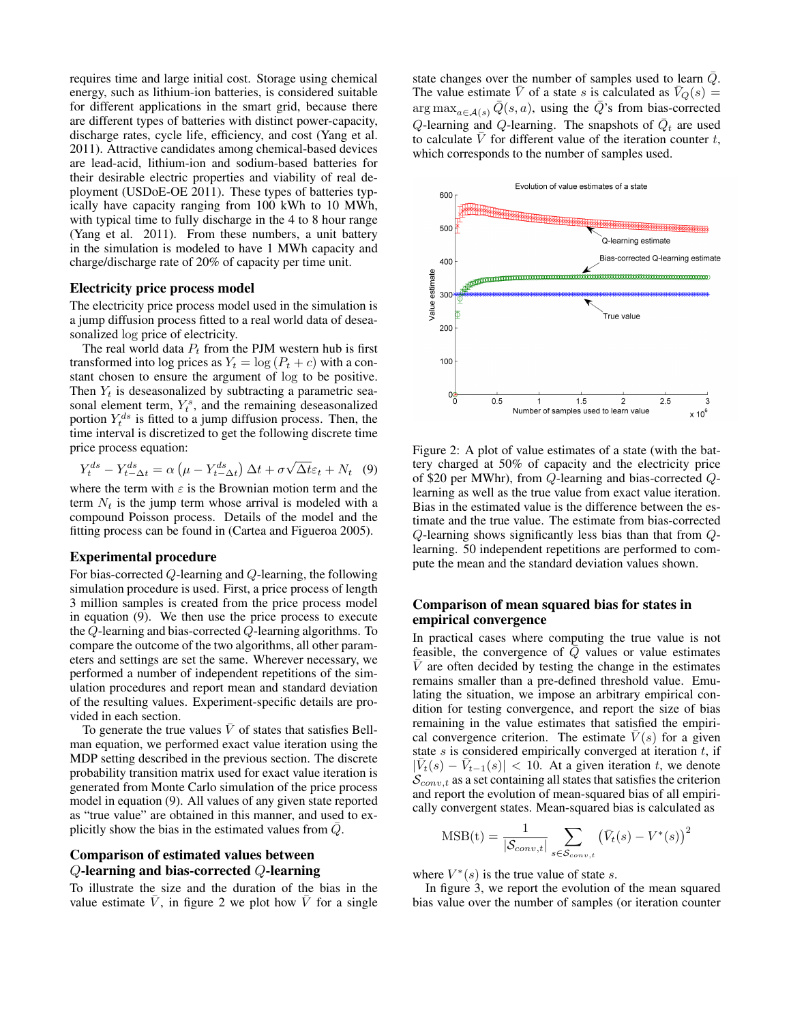requires time and large initial cost. Storage using chemical energy, such as lithium-ion batteries, is considered suitable for different applications in the smart grid, because there are different types of batteries with distinct power-capacity, discharge rates, cycle life, efficiency, and cost (Yang et al. 2011). Attractive candidates among chemical-based devices are lead-acid, lithium-ion and sodium-based batteries for their desirable electric properties and viability of real deployment (USDoE-OE 2011). These types of batteries typically have capacity ranging from 100 kWh to 10 MWh, with typical time to fully discharge in the 4 to 8 hour range (Yang et al. 2011). From these numbers, a unit battery in the simulation is modeled to have 1 MWh capacity and charge/discharge rate of 20% of capacity per time unit.

#### Electricity price process model

The electricity price process model used in the simulation is a jump diffusion process fitted to a real world data of deseasonalized log price of electricity.

The real world data  $P_t$  from the PJM western hub is first transformed into log prices as  $Y_t = \log (P_t + c)$  with a constant chosen to ensure the argument of log to be positive. Then  $Y_t$  is deseasonalized by subtracting a parametric seasonal element term,  $Y_t^s$ , and the remaining deseasonalized portion  $Y_t^{ds}$  is fitted to a jump diffusion process. Then, the time interval is discretized to get the following discrete time price process equation:

$$
Y_t^{ds} - Y_{t-\Delta t}^{ds} = \alpha \left( \mu - Y_{t-\Delta t}^{ds} \right) \Delta t + \sigma \sqrt{\Delta t} \varepsilon_t + N_t \quad (9)
$$

where the term with  $\varepsilon$  is the Brownian motion term and the term  $N_t$  is the jump term whose arrival is modeled with a compound Poisson process. Details of the model and the fitting process can be found in (Cartea and Figueroa 2005).

#### Experimental procedure

For bias-corrected Q-learning and Q-learning, the following simulation procedure is used. First, a price process of length 3 million samples is created from the price process model in equation (9). We then use the price process to execute the Q-learning and bias-corrected Q-learning algorithms. To compare the outcome of the two algorithms, all other parameters and settings are set the same. Wherever necessary, we performed a number of independent repetitions of the simulation procedures and report mean and standard deviation of the resulting values. Experiment-specific details are provided in each section.

To generate the true values  $\overline{V}$  of states that satisfies Bellman equation, we performed exact value iteration using the MDP setting described in the previous section. The discrete probability transition matrix used for exact value iteration is generated from Monte Carlo simulation of the price process model in equation (9). All values of any given state reported as "true value" are obtained in this manner, and used to explicitly show the bias in the estimated values from  $\overline{Q}$ .

# Comparison of estimated values between Q-learning and bias-corrected Q-learning

To illustrate the size and the duration of the bias in the value estimate  $\bar{V}$ , in figure 2 we plot how  $\bar{V}$  for a single

state changes over the number of samples used to learn  $\overline{Q}$ . The value estimate  $\overline{V}$  of a state s is calculated as  $\overline{V}_Q(s)$  = arg max<sub>a∈A(s)</sub>  $\overline{Q}(s, a)$ , using the  $\overline{Q}$ 's from bias-corrected Q-learning and Q-learning. The snapshots of  $\overline{Q}_t$  are used to calculate V for different value of the iteration counter  $t$ , which corresponds to the number of samples used.



Figure 2: A plot of value estimates of a state (with the battery charged at 50% of capacity and the electricity price of \$20 per MWhr), from Q-learning and bias-corrected Qlearning as well as the true value from exact value iteration. Bias in the estimated value is the difference between the estimate and the true value. The estimate from bias-corrected Q-learning shows significantly less bias than that from Qlearning. 50 independent repetitions are performed to compute the mean and the standard deviation values shown.

# Comparison of mean squared bias for states in empirical convergence

In practical cases where computing the true value is not feasible, the convergence of  $\overline{Q}$  values or value estimates  $\overline{V}$  are often decided by testing the change in the estimates remains smaller than a pre-defined threshold value. Emulating the situation, we impose an arbitrary empirical condition for testing convergence, and report the size of bias remaining in the value estimates that satisfied the empirical convergence criterion. The estimate  $\overline{V}(s)$  for a given state  $s$  is considered empirically converged at iteration  $t$ , if  $|\bar{V}_t(s) - \bar{V}_{t-1}(s)| < 10$ . At a given iteration t, we denote  $\mathcal{S}_{conv,t}$  as a set containing all states that satisfies the criterion and report the evolution of mean-squared bias of all empirically convergent states. Mean-squared bias is calculated as

$$
\text{MSB(t)} = \frac{1}{|\mathcal{S}_{conv,t}|} \sum_{s \in \mathcal{S}_{conv,t}} (\bar{V}_t(s) - V^*(s))^2
$$

where  $V^*(s)$  is the true value of state s.

In figure 3, we report the evolution of the mean squared bias value over the number of samples (or iteration counter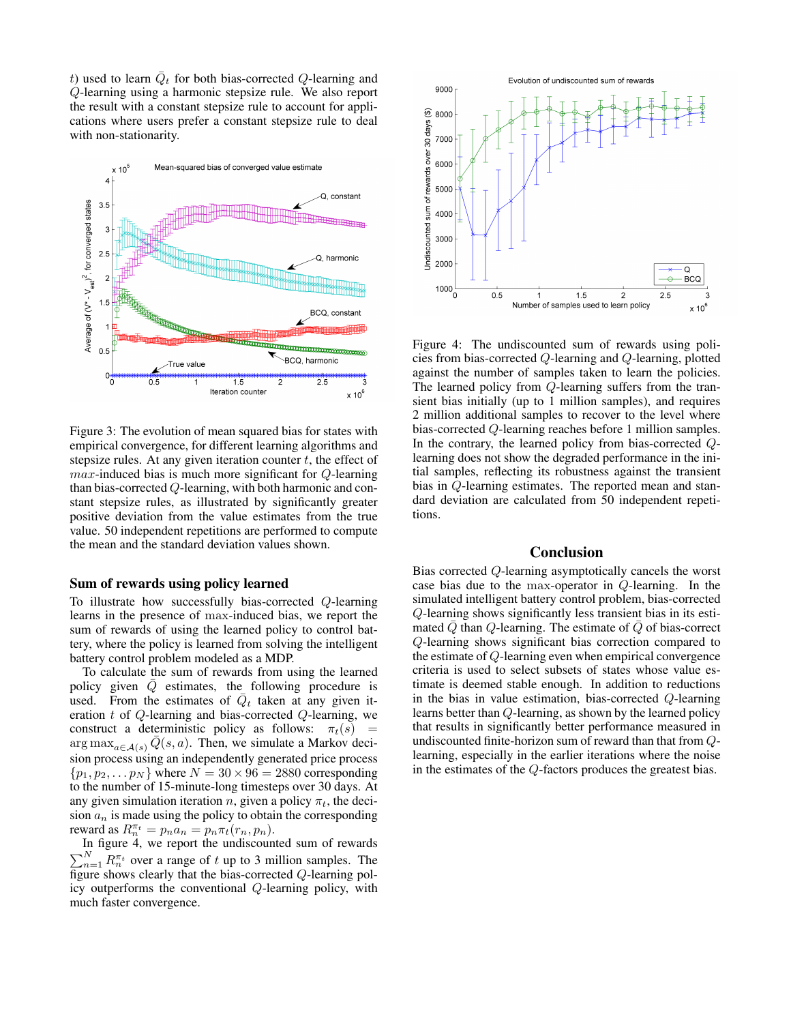t) used to learn  $\overline{Q}_t$  for both bias-corrected Q-learning and Q-learning using a harmonic stepsize rule. We also report the result with a constant stepsize rule to account for applications where users prefer a constant stepsize rule to deal with non-stationarity.



Figure 3: The evolution of mean squared bias for states with empirical convergence, for different learning algorithms and stepsize rules. At any given iteration counter  $t$ , the effect of max-induced bias is much more significant for Q-learning than bias-corrected Q-learning, with both harmonic and constant stepsize rules, as illustrated by significantly greater positive deviation from the value estimates from the true value. 50 independent repetitions are performed to compute the mean and the standard deviation values shown.

### Sum of rewards using policy learned

To illustrate how successfully bias-corrected Q-learning learns in the presence of max-induced bias, we report the sum of rewards of using the learned policy to control battery, where the policy is learned from solving the intelligent battery control problem modeled as a MDP.

To calculate the sum of rewards from using the learned policy given  $\overline{Q}$  estimates, the following procedure is used. From the estimates of  $\overline{Q}_t$  taken at any given iteration  $t$  of  $Q$ -learning and bias-corrected  $Q$ -learning, we construct a deterministic policy as follows:  $\pi_t(s)$  =  $\arg \max_{a \in A(s)} Q(s, a)$ . Then, we simulate a Markov decision process using an independently generated price process  $\{p_1, p_2, \ldots p_N\}$  where  $N = 30 \times 96 = 2880$  corresponding to the number of 15-minute-long timesteps over 30 days. At any given simulation iteration n, given a policy  $\pi_t$ , the decision  $a_n$  is made using the policy to obtain the corresponding reward as  $R_n^{\pi_t} = p_n a_n = p_n \pi_t(r_n, p_n)$ .

In figure 4, we report the undiscounted sum of rewards  $\sum_{n=1}^{N} R_n^{\pi_t}$  over a range of t up to 3 million samples. The figure shows clearly that the bias-corrected Q-learning policy outperforms the conventional Q-learning policy, with much faster convergence.



Figure 4: The undiscounted sum of rewards using policies from bias-corrected Q-learning and Q-learning, plotted against the number of samples taken to learn the policies. The learned policy from Q-learning suffers from the transient bias initially (up to 1 million samples), and requires 2 million additional samples to recover to the level where bias-corrected Q-learning reaches before 1 million samples. In the contrary, the learned policy from bias-corrected  $Q$ learning does not show the degraded performance in the initial samples, reflecting its robustness against the transient bias in Q-learning estimates. The reported mean and standard deviation are calculated from 50 independent repetitions.

### Conclusion

Bias corrected Q-learning asymptotically cancels the worst case bias due to the max-operator in Q-learning. In the simulated intelligent battery control problem, bias-corrected Q-learning shows significantly less transient bias in its estimated  $\overline{Q}$  than  $Q$ -learning. The estimate of  $\overline{Q}$  of bias-correct Q-learning shows significant bias correction compared to the estimate of Q-learning even when empirical convergence criteria is used to select subsets of states whose value estimate is deemed stable enough. In addition to reductions in the bias in value estimation, bias-corrected Q-learning learns better than Q-learning, as shown by the learned policy that results in significantly better performance measured in undiscounted finite-horizon sum of reward than that from Qlearning, especially in the earlier iterations where the noise in the estimates of the Q-factors produces the greatest bias.